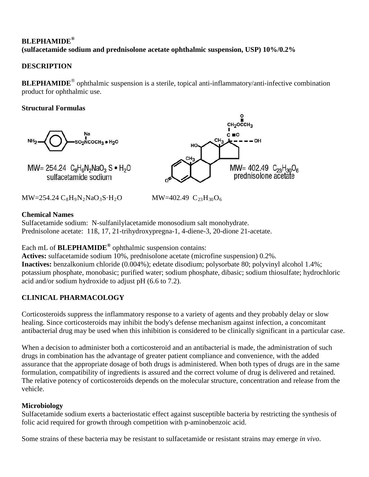# **BLEPHAMIDE® (sulfacetamide sodium and prednisolone acetate ophthalmic suspension, USP) 10%/0.2%**

## **DESCRIPTION**

**BLEPHAMIDE<sup>®</sup>** ophthalmic suspension is a sterile, topical anti-inflammatory/anti-infective combination product for ophthalmic use.

## **Structural Formulas**

SO<sub>2</sub>NCOCH<sub>3</sub> • H<sub>2</sub>O

 $MW = 254.24 \text{ C}_{8}H_{9}N_{2}NaO_{3} S \cdot H_{2}O$ sulfacetamide sodium

 $MW=254.24 \text{ C}_8\text{H}_9\text{N}_2\text{NaO}_3\text{S}\cdot\text{H}_2\text{O}$  MW=402.49  $\text{C}_{23}\text{H}_{30}\text{O}_6$ 



## **Chemical Names**

Sulfacetamide sodium: N-sulfanilylacetamide monosodium salt monohydrate. Prednisolone acetate: 11ß, 17, 21-trihydroxypregna-1, 4-diene-3, 20-dione 21-acetate.

# Each mL of **BLEPHAMIDE®** ophthalmic suspension contains:

**Actives:** sulfacetamide sodium 10%, prednisolone acetate (microfine suspension) 0.2%. **Inactives:** benzalkonium chloride (0.004%); edetate disodium; polysorbate 80; polyvinyl alcohol 1.4%; potassium phosphate, monobasic; purified water; sodium phosphate, dibasic; sodium thiosulfate; hydrochloric acid and/or sodium hydroxide to adjust pH (6.6 to 7.2).

## **CLINICAL PHARMACOLOGY**

Corticosteroids suppress the inflammatory response to a variety of agents and they probably delay or slow healing. Since corticosteroids may inhibit the body's defense mechanism against infection, a concomitant antibacterial drug may be used when this inhibition is considered to be clinically significant in a particular case.

When a decision to administer both a corticosteroid and an antibacterial is made, the administration of such drugs in combination has the advantage of greater patient compliance and convenience, with the added assurance that the appropriate dosage of both drugs is administered. When both types of drugs are in the same formulation, compatibility of ingredients is assured and the correct volume of drug is delivered and retained. The relative potency of corticosteroids depends on the molecular structure, concentration and release from the vehicle.

## **Microbiology**

Sulfacetamide sodium exerts a bacteriostatic effect against susceptible bacteria by restricting the synthesis of folic acid required for growth through competition with p-aminobenzoic acid.

Some strains of these bacteria may be resistant to sulfacetamide or resistant strains may emerge *in vivo*.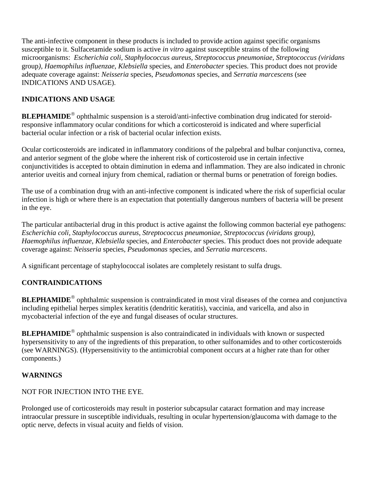The anti-infective component in these products is included to provide action against specific organisms susceptible to it. Sulfacetamide sodium is active *in vitro* against susceptible strains of the following microorganisms: *Escherichia coli, Staphylococcus aureus, Streptococcus pneumoniae, Streptococcus (viridans*  group*), Haemophilus influenzae, Klebsiella* species, and *Enterobacter* species. This product does not provide adequate coverage against: *Neisseria* species, *Pseudomonas* species, and *Serratia marcescens* (see INDICATIONS AND USAGE).

## **INDICATIONS AND USAGE**

**BLEPHAMIDE<sup>®</sup>** ophthalmic suspension is a steroid/anti-infective combination drug indicated for steroidresponsive inflammatory ocular conditions for which a corticosteroid is indicated and where superficial bacterial ocular infection or a risk of bacterial ocular infection exists.

Ocular corticosteroids are indicated in inflammatory conditions of the palpebral and bulbar conjunctiva, cornea, and anterior segment of the globe where the inherent risk of corticosteroid use in certain infective conjunctivitides is accepted to obtain diminution in edema and inflammation. They are also indicated in chronic anterior uveitis and corneal injury from chemical, radiation or thermal burns or penetration of foreign bodies.

The use of a combination drug with an anti-infective component is indicated where the risk of superficial ocular infection is high or where there is an expectation that potentially dangerous numbers of bacteria will be present in the eye.

The particular antibacterial drug in this product is active against the following common bacterial eye pathogens: *Escherichia coli, Staphylococcus aureus, Streptococcus pneumoniae, Streptococcus (viridans* group*), Haemophilus influenzae, Klebsiella* species*,* and *Enterobacter* species. This product does not provide adequate coverage against: *Neisseria* species*, Pseudomonas* species*,* and *Serratia marcescens*.

A significant percentage of staphylococcal isolates are completely resistant to sulfa drugs.

## **CONTRAINDICATIONS**

**BLEPHAMIDE<sup>®</sup>** ophthalmic suspension is contraindicated in most viral diseases of the cornea and conjunctiva including epithelial herpes simplex keratitis (dendritic keratitis), vaccinia, and varicella, and also in mycobacterial infection of the eye and fungal diseases of ocular structures.

**BLEPHAMIDE<sup>®</sup>** ophthalmic suspension is also contraindicated in individuals with known or suspected hypersensitivity to any of the ingredients of this preparation, to other sulfonamides and to other corticosteroids (see WARNINGS). (Hypersensitivity to the antimicrobial component occurs at a higher rate than for other components.)

## **WARNINGS**

## NOT FOR INJECTION INTO THE EYE.

Prolonged use of corticosteroids may result in posterior subcapsular cataract formation and may increase intraocular pressure in susceptible individuals, resulting in ocular hypertension/glaucoma with damage to the optic nerve, defects in visual acuity and fields of vision.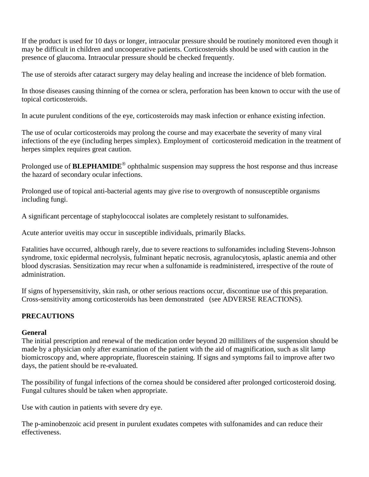If the product is used for 10 days or longer, intraocular pressure should be routinely monitored even though it may be difficult in children and uncooperative patients. Corticosteroids should be used with caution in the presence of glaucoma. Intraocular pressure should be checked frequently.

The use of steroids after cataract surgery may delay healing and increase the incidence of bleb formation.

In those diseases causing thinning of the cornea or sclera, perforation has been known to occur with the use of topical corticosteroids.

In acute purulent conditions of the eye, corticosteroids may mask infection or enhance existing infection.

The use of ocular corticosteroids may prolong the course and may exacerbate the severity of many viral infections of the eye (including herpes simplex). Employment of corticosteroid medication in the treatment of herpes simplex requires great caution.

Prolonged use of **BLEPHAMIDE**<sup>®</sup> ophthalmic suspension may suppress the host response and thus increase the hazard of secondary ocular infections.

Prolonged use of topical anti-bacterial agents may give rise to overgrowth of nonsusceptible organisms including fungi.

A significant percentage of staphylococcal isolates are completely resistant to sulfonamides.

Acute anterior uveitis may occur in susceptible individuals, primarily Blacks.

Fatalities have occurred, although rarely, due to severe reactions to sulfonamides including Stevens-Johnson syndrome, toxic epidermal necrolysis, fulminant hepatic necrosis, agranulocytosis, aplastic anemia and other blood dyscrasias. Sensitization may recur when a sulfonamide is readministered, irrespective of the route of administration.

If signs of hypersensitivity, skin rash, or other serious reactions occur, discontinue use of this preparation. Cross-sensitivity among corticosteroids has been demonstrated (see ADVERSE REACTIONS).

#### **PRECAUTIONS**

#### **General**

The initial prescription and renewal of the medication order beyond 20 milliliters of the suspension should be made by a physician only after examination of the patient with the aid of magnification, such as slit lamp biomicroscopy and, where appropriate, fluorescein staining. If signs and symptoms fail to improve after two days, the patient should be re-evaluated.

The possibility of fungal infections of the cornea should be considered after prolonged corticosteroid dosing. Fungal cultures should be taken when appropriate.

Use with caution in patients with severe dry eye.

The p-aminobenzoic acid present in purulent exudates competes with sulfonamides and can reduce their effectiveness.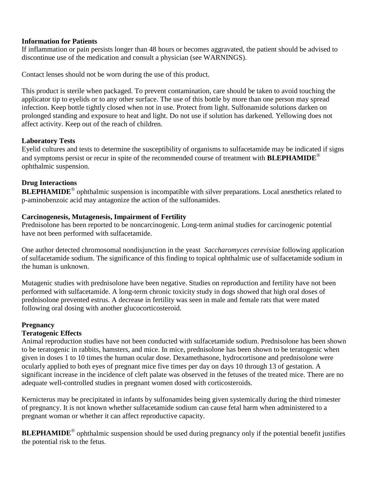#### **Information for Patients**

If inflammation or pain persists longer than 48 hours or becomes aggravated, the patient should be advised to discontinue use of the medication and consult a physician (see WARNINGS).

Contact lenses should not be worn during the use of this product.

This product is sterile when packaged. To prevent contamination, care should be taken to avoid touching the applicator tip to eyelids or to any other surface. The use of this bottle by more than one person may spread infection. Keep bottle tightly closed when not in use. Protect from light. Sulfonamide solutions darken on prolonged standing and exposure to heat and light. Do not use if solution has darkened. Yellowing does not affect activity. Keep out of the reach of children.

#### **Laboratory Tests**

Eyelid cultures and tests to determine the susceptibility of organisms to sulfacetamide may be indicated if signs and symptoms persist or recur in spite of the recommended course of treatment with **BLEPHAMIDE** ophthalmic suspension.

#### **Drug Interactions**

**BLEPHAMIDE<sup>®</sup>** ophthalmic suspension is incompatible with silver preparations. Local anesthetics related to p-aminobenzoic acid may antagonize the action of the sulfonamides.

#### **Carcinogenesis, Mutagenesis, Impairment of Fertility**

Prednisolone has been reported to be noncarcinogenic. Long-term animal studies for carcinogenic potential have not been performed with sulfacetamide.

One author detected chromosomal nondisjunction in the yeast *Saccharomyces cerevisiae* following application of sulfacetamide sodium. The significance of this finding to topical ophthalmic use of sulfacetamide sodium in the human is unknown.

Mutagenic studies with prednisolone have been negative. Studies on reproduction and fertility have not been performed with sulfacetamide. A long-term chronic toxicity study in dogs showed that high oral doses of prednisolone prevented estrus. A decrease in fertility was seen in male and female rats that were mated following oral dosing with another glucocorticosteroid.

#### **Pregnancy**

#### **Teratogenic Effects**

Animal reproduction studies have not been conducted with sulfacetamide sodium. Prednisolone has been shown to be teratogenic in rabbits, hamsters, and mice. In mice, prednisolone has been shown to be teratogenic when given in doses 1 to 10 times the human ocular dose. Dexamethasone, hydrocortisone and prednisolone were ocularly applied to both eyes of pregnant mice five times per day on days 10 through 13 of gestation. A significant increase in the incidence of cleft palate was observed in the fetuses of the treated mice. There are no adequate well-controlled studies in pregnant women dosed with corticosteroids.

Kernicterus may be precipitated in infants by sulfonamides being given systemically during the third trimester of pregnancy. It is not known whether sulfacetamide sodium can cause fetal harm when administered to a pregnant woman or whether it can affect reproductive capacity.

**BLEPHAMIDE<sup>®</sup>** ophthalmic suspension should be used during pregnancy only if the potential benefit justifies the potential risk to the fetus.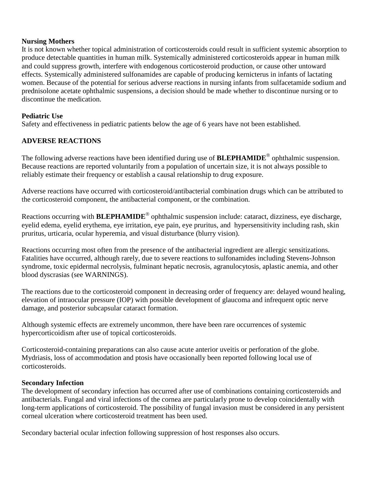#### **Nursing Mothers**

It is not known whether topical administration of corticosteroids could result in sufficient systemic absorption to produce detectable quantities in human milk. Systemically administered corticosteroids appear in human milk and could suppress growth, interfere with endogenous corticosteroid production, or cause other untoward effects. Systemically administered sulfonamides are capable of producing kernicterus in infants of lactating women. Because of the potential for serious adverse reactions in nursing infants from sulfacetamide sodium and prednisolone acetate ophthalmic suspensions, a decision should be made whether to discontinue nursing or to discontinue the medication.

#### **Pediatric Use**

Safety and effectiveness in pediatric patients below the age of 6 years have not been established.

### **ADVERSE REACTIONS**

The following adverse reactions have been identified during use of **BLEPHAMIDE**<sup>®</sup> ophthalmic suspension. Because reactions are reported voluntarily from a population of uncertain size, it is not always possible to reliably estimate their frequency or establish a causal relationship to drug exposure.

Adverse reactions have occurred with corticosteroid/antibacterial combination drugs which can be attributed to the corticosteroid component, the antibacterial component, or the combination.

Reactions occurring with **BLEPHAMIDE**<sup>®</sup> ophthalmic suspension include: cataract, dizziness, eye discharge, eyelid edema, eyelid erythema, eye irritation, eye pain, eye pruritus, and hypersensitivity including rash, skin pruritus, urticaria, ocular hyperemia, and visual disturbance (blurry vision).

Reactions occurring most often from the presence of the antibacterial ingredient are allergic sensitizations. Fatalities have occurred, although rarely, due to severe reactions to sulfonamides including Stevens-Johnson syndrome, toxic epidermal necrolysis, fulminant hepatic necrosis, agranulocytosis, aplastic anemia, and other blood dyscrasias (see WARNINGS).

The reactions due to the corticosteroid component in decreasing order of frequency are: delayed wound healing, elevation of intraocular pressure (IOP) with possible development of glaucoma and infrequent optic nerve damage, and posterior subcapsular cataract formation.

Although systemic effects are extremely uncommon, there have been rare occurrences of systemic hypercorticoidism after use of topical corticosteroids.

Corticosteroid-containing preparations can also cause acute anterior uveitis or perforation of the globe. Mydriasis, loss of accommodation and ptosis have occasionally been reported following local use of corticosteroids.

#### **Secondary Infection**

The development of secondary infection has occurred after use of combinations containing corticosteroids and antibacterials. Fungal and viral infections of the cornea are particularly prone to develop coincidentally with long-term applications of corticosteroid. The possibility of fungal invasion must be considered in any persistent corneal ulceration where corticosteroid treatment has been used.

Secondary bacterial ocular infection following suppression of host responses also occurs.